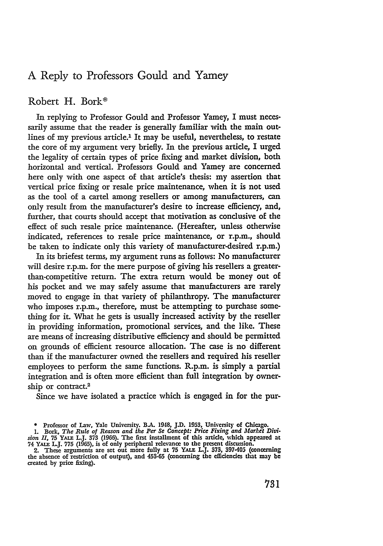# A Reply to Professors Gould and Yamey

## Robert H. Bork $*$

In replying to Professor Gould and Professor Yamey, I must necessarily assume that the reader is generally familiar with the main outlines of my previous article.' It may be useful, nevertheless, to restate the core of my argument very briefly. In the previous article, I urged the legality of certain types of price fixing and market division, both horizontal and vertical. Professors Gould and Yamey are concerned here only with one aspect of that article's thesis: my assertion that vertical price fixing or resale price maintenance, when it is not used as the tool of a cartel among resellers or among manufacturers, can only result from the manufacturer's desire to increase efficiency, and, further, that courts should accept that motivation as conclusive of the effect of such resale price maintenance. (Hereafter, unless otherwise indicated, references to resale price maintenance, or r.p.m., should be taken to indicate only this variety of manufacturer-desired r.p.m.)

In its briefest terms, my argument runs as follows: No manufacturer will desire r.p.m. for the mere purpose of giving his resellers a greaterthan-competitive return. The extra return would be money out of his pocket and we may safely assume that manufacturers are rarely moved to engage in that variety of philanthropy. The manufacturer who imposes r.p.m., therefore, must be attempting to purchase something for it. What he gets is usually increased activity by the reseller in providing information, promotional services, and the like. These are means of increasing distributive efficiency and should be permitted on grounds of efficient resource allocation. The case is no different than if the manufacturer owned the resellers and required his reseller employees to perform the same functions. R.p.m. is simply a partial integration and is often more efficient than full integration by ownership or contract.<sup>2</sup>

Since we have isolated a practice which is engaged in for the pur-

L Professor of Law, Yale University. B.A. 1948, **J.D. 1953,** University of Chicago. **1.** Bork, *The Rule of Reason and the Per Se Concept: Price Fixing and Marhct Divi.* sion II, 75 YALE L.J. 373 (1966). The first installment of this article, which appeared at 74 YALE L.J. 775 (1965), is of only peripheral relevance to the present discussion.

<sup>2.</sup> These arguments are set out more fully at **75 YALE** L.J. **373, 397-405** (concerning the absence of restriction of output), and **453-65** (concerning the efficiencies that may **be** created **by** price fixing).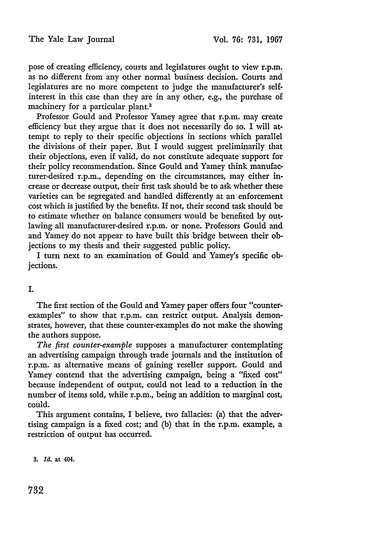pose of creating efficiency, courts and legislatures ought to view r.p.m. as no different from any other normal business decision. Courts and legislatures are no more competent to judge the manufacturer's selfinterest in this case than they are in any other, e.g., the purchase of machinery for a particular plant.3

Professor Gould and Professor Yamey agree that r.p.m. may create efficiency but they argue that it does not necessarily do so. I will attempt to reply to their specific objections in sections which parallel the divisions of their paper. But I would suggest preliminarily that their objections, even if valid, do not constitute adequate support for their policy recommendation. Since Gould and Yamey think manufacturer-desired r.p.m., depending on the circumstances, may either increase or decrease output, their first task should be to ask whether these varieties can be segregated and handled differently at an enforcement cost which is justified by the benefits. If not, their second task should be to estimate whether on balance consumers would be benefited by outlawing all manufacturer-desired r.p.m. or none. Professors Gould and and Yamey do not appear to have built this bridge between their objections to my thesis and their suggested public policy.

I turn next to an examination of Gould and Yamey's specific objections.

#### I.

The first section of the Gould and Yamey paper offers four "counterexamples" to show that r.p.m. can restrict output. Analysis demonstrates, however, that these counter-examples do not make the showing the authors suppose.

*The first counter-example* supposes a manufacturer contemplating an advertising campaign through trade journals and the institution of r.p.m. as alternative means of gaining reseller support. Gould and Yamey contend that the advertising campaign, being a "fixed cost" because independent of output, could not lead to a reduction in the number of items sold, while r.p.m., being an addition to marginal cost, could.

This argument contains, I believe, two fallacies: (a) that the advertising campaign is a fixed cost; and (b) that in the r.p.m. example, a restriction of output has occurred.

*3. Id.* at 404.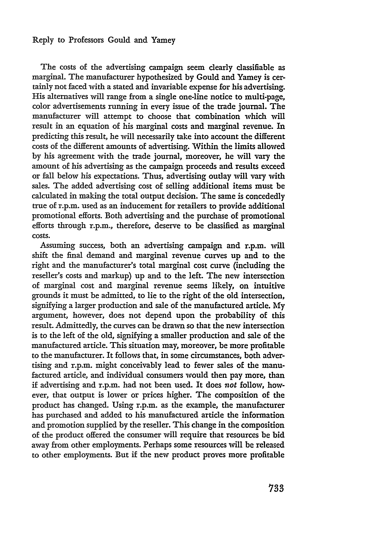#### Reply to Professors Gould and Yamey

The costs of the advertising campaign seem clearly classifiable as marginal. The manufacturer hypothesized by Gould and Yamey is certainly not faced with a stated and invariable expense for his advertising. His alternatives will range from a single one-line notice to multi-page, color advertisements running in every issue of the trade journal. The manufacturer will attempt to choose that combination which will result in an equation of his marginal costs and marginal revenue. In predicting this result, he will necessarily take into account the different costs of the different amounts of advertising. Within the limits allowed by his agreement with the trade journal, moreover, he will vary the amount of his advertising as the campaign proceeds and results exceed or fall below his expectations. Thus, advertising outlay will vary with sales. The added advertising cost of selling additional items must be calculated in making the total output decision. The same is concededly true of r.p.m. used as an inducement for retailers to provide additional promotional efforts. Both advertising and the purchase of promotional efforts through r.p.m., therefore, deserve to be classified as marginal costs.

Assuming success, both an advertising campaign and r.p.m. will shift the final demand and marginal revenue curves up and to the right and the manufacturer's total marginal cost curve (including the reseller's costs and markup) up and to the left. The new intersection of marginal cost and marginal revenue seems likely, on intuitive grounds it must be admitted, to lie to the right of the old intersection, signifying a larger production and sale of the manufactured article. My argument, however, does not depend upon the probability of this result. Admittedly, the curves can be drawn so that the new intersection is to the left of the old, signifying a smaller production and sale of the manufactured article. This situation may, moreover, be more profitable to the manufacturer. It follows that, in some circumstances, both advertising and r.p.m. might conceivably lead to fewer sales of the manufactured article, and individual consumers would then pay more, than if advertising and r.p.m. had not been used. It does *not* follow, however, that output is lower or prices higher. The composition of the product has changed. Using r.p.m. as the example, the manufacturer has purchased and added to his manufactured article the information and promotion supplied by the reseller. This change in the composition of the product offered the consumer will require that resources be bid away from other employments. Perhaps some resources will be released to other employments. But if the new product proves more profitable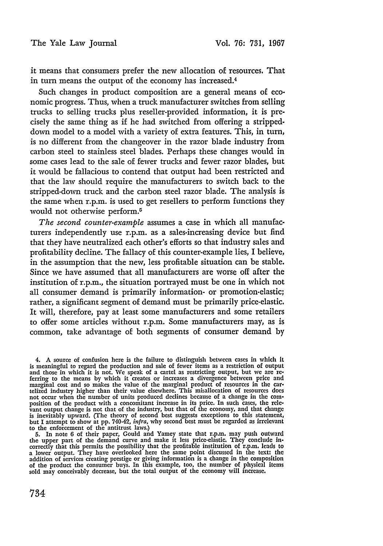it means that consumers prefer the new allocation of resources. That in turn means the output of the economy has increased.<sup>4</sup>

Such changes in product composition are a general means of economic progress. Thus, when a truck manufacturer switches from selling trucks to selling trucks plus reseller-provided information, it is precisely the same thing as if he had switched from offering a strippeddown model to a model with a variety of extra features. This, in turn, is no different from the changeover in the razor blade industry from carbon steel to stainless steel blades. Perhaps these changes would in some cases lead to the sale of fewer trucks and fewer razor blades, but it would be fallacious to contend that output had been restricted and that the law should require the manufacturers to switch back to the stripped-down truck and the carbon steel razor blade. The analysis is the same when r.p.m. is used to get resellers to perform functions they would not otherwise perform.5

*The second counter-example* assumes a case in which all manufacturers independently use r.p.m. as a sales-increasing device but find that they have neutralized each other's efforts so that industry sales and profitability decline. The fallacy of this counter-example lies, I believe, in the assumption that the new, less profitable situation can be stable. Since we have assumed that all manufacturers are worse off after the institution of r.p.m., the situation portrayed must be one in which not all consumer demand is primarily information- or promotion-elastic; rather, a significant segment of demand must be primarily price-elastic. It will, therefore, pay at least some manufacturers and some retailers to offer some articles without r.p.m. Some manufacturers may, as is common, take advantage of both segments of consumer demand by

4. A source of confusion here is the failure to distinguish between cases in which It is meaningful to regard the production and sale of fewer items as a restriction **of** output and those in which it is not. We speak of a cartel as restricting output, but we are referring to the means by which it creates or increases a divergence between price and marginal cost and so makes the value of the marginal product of resources in the car-<br>telized industry higher than their value elsewhere. This misallocation of resources does not occur when the number of units produced declines because of a change in the com- position of the product with a concomitant increase in its price. In such cases, the **rele**vant output change is not that of the industry, but that of the economy, and that change is inevitably upward. (The theory of second best suggests exceptions to this statement, but I attempt to show at pp. 740-42, *infra*, why second best must be regarded as irrelevant<br>to the enforcement of the antitrust laws.)

5. In note 6 of their paper, Gould and Yamey state that r.p.m. may push outward the upper part of the demand curve and make it less price-elastic. They conclude incorrectly that this permits the possibility that the profitable institution of r.p.m. leads to a lower output. They have overlooked here the same point discussed in the text: the addition of services creating prestige or giving information is a change in the composition of the product the consumer buys. In this example, too, the number of physical items sold may conceivably decrease, but the total output of the economy will increase.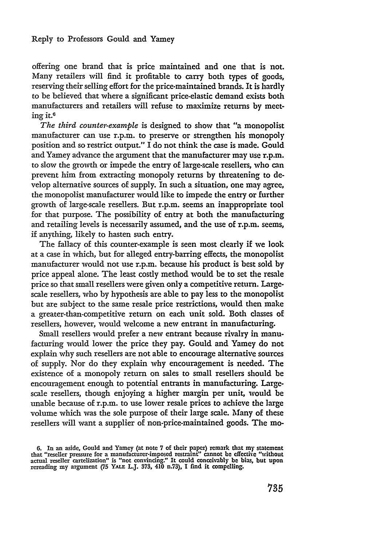offering one brand that is price maintained and one that is not. Many retailers will find it profitable to carry both types of goods, reserving their selling effort for the price-maintained brands. It is hardly to be believed that where a significant price-elastic demand exists both manufacturers and retailers will refuse to maximize returns by meeting it.6

*The third counter-example* is designed to show that "a monopolist manufacturer can use r.p.m. to preserve or strengthen his monopoly position and so restrict output." I do not think the case is made. Gould and Yamey advance the argument that the manufacturer may use r.p.m. to slow the growth or impede the entry of large-scale resellers, who can prevent him from extracting monopoly returns by threatening to develop alternative sources of supply. In such a situation, one may agree, the monopolist manufacturer would like to impede the entry or further growth of large-scale resellers. But r.p.m. seems an inappropriate tool for that purpose. The possibility of entry at both the manufacturing and retailing levels is necessarily assumed, and the use of r.p.m. seems, if anything, likely to hasten such entry.

The fallacy of this counter-example is seen most clearly if we look at a case in which, but for alleged entry-barring effects, the monopolist manufacturer would not use r.p.m. because his product is best sold by price appeal alone. The least costly method would be to set the resale price so that small resellers were given only a competitive return. Largescale resellers, who by hypothesis are able to pay less to the monopolist but are subject to the same resale price restrictions, would then make a greater-than-competitive return on each unit sold. Both classes of resellers, however, would welcome a new entrant in manufacturing.

Small resellers would prefer a new entrant because rivalry in manufacturing would lower the price they pay. Gould and Yamey do not explain why such resellers are not able to encourage alternative sources of supply. Nor do they explain why encouragement is needed. The existence of a monopoly return on sales to small resellers should be encouragement enough to potential entrants in manufacturing. Largescale resellers, though enjoying a higher margin per unit, would be unable because of r.p.m. to use lower resale prices to achieve the large volume which was the sole purpose of their large scale. Many of these resellers will want a supplier of non-price-maintained goods. The mo-

**<sup>6.</sup>** In an aside, Gould and Yamey (at note **7** of their paper) remark that my statement that "reseller pressure for a manufacturer-imposed restraint' cannot **be** effective "without actual reseller cartelization" is "not convincing." It could conceivably **be** bias, but upon rereading my argument **(75** YALE L.J. **373,** 410 n.73), I find it compelling.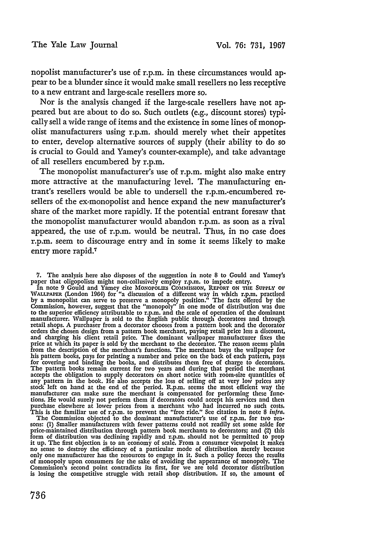nopolist manufacturer's use of r.p.m. in these circumstances would appear to be a blunder since it would make small resellers no less receptive to a new entrant and large-scale resellers more so.

Nor is the analysis changed if the large-scale resellers have not appeared but are about to do so. Such outlets (e.g., discount stores) typically sell a wide range of items and the existence in some lines of monopolist manufacturers using r.p.m. should merely whet their appetites to enter, develop alternative sources of supply (their ability to do so is crucial to Gould and Yamey's counter-example), and take advantage of all resellers encumbered **by** r.p.m.

The monopolist manufacturer's use of r.p.m. might also make entry more attractive at the manufacturing level. The manufacturing entrant's resellers would be able to undersell the r.p.m.-encumbered resellers of the ex-monopolist and hence expand the new manufacturer's share of the market more rapidly. If the potential entrant foresaw that the monopolist manufacturer would abandon r.p.m. as soon as a rival appeared, the use of r.p.m. would be neutral. Thus, in no case does r.p.m. seem to discourage entry and in some it seems likely to make entry more rapid.7

In note 9 Gould and Yamey cite MONOPOLIES COMMISSION, REPORT ON THE SUPPLY OF WALLPAPER (London 1964) for "a discussion of a different way in which r.p.m. practised by a monopolist can serve to preserve a monopoly position." The facts offered by the Commission, however, suggest that the "monopoly" in one mode of distribution **was** due to the superior efficiency attributable to r.p.m. and the scale of operation of the dominant manufacturer. Wallpaper is sold to the English public through decorators and through retail shops. **A** purchaser from a decorator chooses from a pattern book and the decorator orders the chosen design from a pattern book merchant, paying retail price less a discount, and charging his client retail price. The dominant wallpaper manufacturer fixes the price at which its paper is sold by the merchant to the decorator. The reason **seems** plain from the description of the merchant's functions. The merchant buys the wallpaper for his pattern books, pays for printing a number and price on the back of each pattern, pays for covering and binding the books, and distributes them free of charge to decorators<br>The pattern books remain current for two years and during that period the merchant<br>accepts the obligation to supply decorators on short any pattern in the book. He also accepts the loss of selling off at very low prices any stock left on hand at the end of the period. R.p.m. seems the most efficient way the manufacturer can make sure the merchant is compensated for performing these functions. He would surely not perform them if decorators could accept his services and then purchase elsewhere at lower prices from a merchant who had incurred no such costs.

This is the familiar use of r.p.m. to prevent the "free ride." See citation in note 8 *infra*.<br>The Commission objected to the dominant manufacturer's use of r.p.m. for two reasons: (1) Smaller manufacturers with fewer pat it up. The first objection is to an economy of scale. From a consumer viewpoint it makes<br>no sense to destroy the efficiency of a particular mode of distribution merely because<br>only one manufacturer has the resources to eng of monopoly upon consumers for the sake of avoiding the appearance of monopoly. The Commission's second point contradicts its first, for we are told decorator distribution<br>is losing the competitive struggle with retail shop distribution. If so, the amount of

**<sup>7.</sup>** The analysis here also disposes of the suggestion in note **8** to Gould and Yamey's paper that oligopolists might non-collusively employ r.p.m. to impede entry.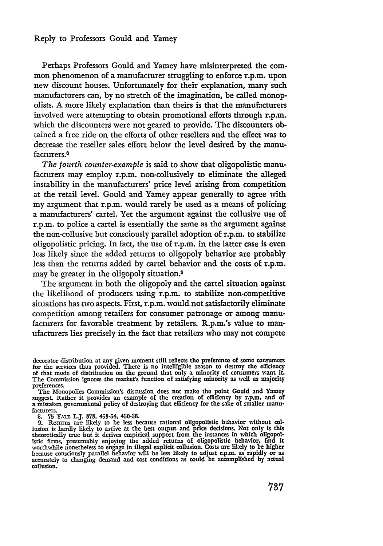#### Reply to Professors Gould and Yamey

Perhaps Professors Gould and Yamey have misinterpreted the common phenomenon of a manufacturer struggling to enforce r.p.m. upon new discount houses. Unfortunately for their explanation, many such manufacturers can, by no stretch of the imagination, be called monopolists. A more likely explanation than theirs is that the manufacturers involved were attempting to obtain promotional efforts through r.p.m. which the discounters were not geared to provide. The discounters obtained a free ride on the efforts of other resellers and the effect was to decrease the reseller sales effort below the level desired by the manufacturers.<sup>8</sup>

*The fourth counter-example* is said to show that oligopolistic manufacturers may employ r.p.m. non-collusively to eliminate the alleged instability in the manufacturers' price level arising from competition at the retail level. Gould and Yamey appear generally to agree with my argument that r.p.m. would rarely be used as a means of policing a manufacturers' cartel. Yet the argument against the collusive use of r.p.m. to police a cartel is essentially the same as the argument against the non-collusive but consciously parallel adoption of r.p.m. to stabilize oligopolistic pricing. In fact, the use of r.p.m. in the latter case is even less likely since the added returns to oligopoly behavior are probably less than the returns added by cartel behavior and the costs of r.p.m. may be greater in the oligopoly situation.<sup>0</sup>

The argument in both the oligopoly and the cartel situation against the likelihood of producers using r.p.m. to stabilize non-competitive situations has two aspects. First, r.p.m. would not satisfactorily eliminate competition among retailers for consumer patronage or among manufacturers for favorable treatment by retailers. R.p.m.'s value to manufacturers lies precisely in the fact that retailers who may not compete

decorator distribution at any given moment still reflects the **preference** of some consumers for the services thus provided. There is no intelligible reason to destroy the efficiency<br>of that mode of distribution on the ground that only a minority of consumers want it. The Commission ignores the market's function of satisfying minority as well as majority preferences.

The Monopolies Commission's discussion does not make the point Gould and Yamey suggest. Rather it provides an example of the creation of efficiency by r.p.m. and of a mistaken governmental policy of destroying that efficie

<sup>8. 75</sup> YALE L.J. 373, 453-54, 430-38.<br>9. Returns are likely to be less because rational oligopolistic behavior without collusion is hardly likely to arrive at the best output and price decisions. Not only is this theoretica istic firms, presumably enjoying the added returns **of** oligopolistic behavior, find it worthwhile nonetheless to engage in illegal explicit collusion. Costs are likely to be higher<br>because consciously parallel behavior will be less likely to adjust r.p.m. as rapidly or as<br>accurately to changing demand and co collusion.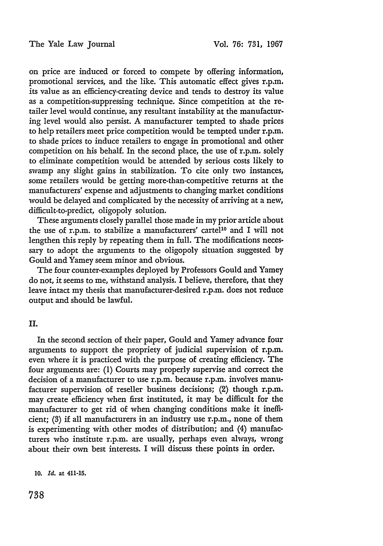on price are induced or forced to compete by offering information, promotional services, and the like. This automatic effect gives r.p.m. its value as an efficiency-creating device and tends to destroy its value as a competition-suppressing technique. Since competition at the retailer level would continue, any resultant instability at the manufacturing level would also persist. **A** manufacturer tempted to shade prices to help retailers meet price competition would be tempted under r.p.m. to shade prices to induce retailers to engage in promotional and other competition on his behalf. In the second place, the use of r.p.m. solely to eliminate competition would be attended by serious costs likely to swamp any slight gains in stabilization. To cite only two instances, some retailers would be getting more-than-competitive returns at the manufacturers' expense and adjustments to changing market conditions would be delayed and complicated by the necessity of arriving at a new, difficult-to-predict, oligopoly solution.

These arguments closely parallel those made in my prior article about the use of r.p.m. to stabilize a manufacturers' cartel<sup>10</sup> and I will not lengthen this reply by repeating them in full. The modifications necessary to adopt the arguments to the oligopoly situation suggested by Gould and Yamey seem minor and obvious.

The four counter-examples deployed by Professors Gould and Yamey do not, it seems to me, withstand analysis. I believe, therefore, that they leave intact my thesis that manufacturer-desired r.p.m. does not reduce output and should be lawful.

#### II.

In the second section of their paper, Gould and Yamey advance four arguments to support the propriety of judicial supervision of r.p.m. even where it is practiced with the purpose of creating efficiency. The four arguments are: **(1)** Courts may properly supervise and correct the decision of a manufacturer to use r.p.m. because r.p.m. involves manufacturer supervision of reseller business decisions; (2) though r.p.m. may create efficiency when first instituted, it may be difficult for the manufacturer to get rid of when changing conditions make it inefficient; (3) if all manufacturers in an industry use r.p.m., none of them is experimenting with other modes of distribution; and (4) manufacturers who institute r.p.m. are usually, perhaps even always, wrong about their own best interests. I will discuss these points in order.

**10.** *Id.* at **411-15.**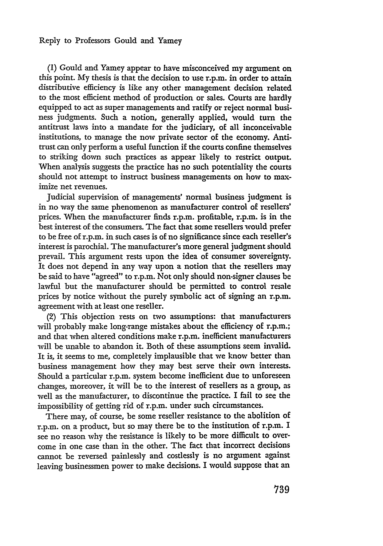#### Reply to Professors Gould and Yamey

**(1)** Gould and Yamey appear to have misconceived my argument on this point. My thesis is that the decision to use r.p.m. in order to attain distributive efficiency is like any other management decision related to the most efficient method of production or sales. Courts are hardly equipped to act as super managements and ratify or reject normal business judgments. Such a notion, generally applied, would turn the antitrust laws into a mandate for the judiciary, of all inconceivable institutions, to manage the now private sector of the economy. Antitrust can only perform a useful function if the courts confine themselves to striking down such practices as appear likely to restrict output. When analysis suggests the practice has no such potentiality the courts should not attempt to instruct business managements on how to maximize net revenues.

Judicial supervision of managements' normal business judgment is in no way the same phenomenon as manufacturer control of resellers' prices. When the manufacturer finds r.p.m. profitable, r.p.m. is in the best interest of the consumers. The fact that some resellers would prefer to be free of r.p.m. in such cases is of no significance since each reseller's interest is parochial. The manufacturer's more general judgment should prevail. This argument rests upon the idea of consumer sovereignty. It does not depend in any way upon a notion that the resellers may be said to have "agreed" to r.p.m. Not only should non-signer clauses be lawful but the manufacturer should be permitted to control resale prices by notice without the purely symbolic act of signing an r.p.m. agreement with at least one reseller.

(2) This objection rests on two assumptions: that manufacturers will probably make long-range mistakes about the efficiency of r.p.m.; and that when altered conditions make r.p.m. inefficient manufacturers will be unable to abandon it. Both of these assumptions seem invalid. It is, it seems to me, completely implausible that we know better than business management how they may best serve their own interests. Should a particular r.p.m. system become inefficient due to unforeseen changes, moreover, it will be to the interest of resellers as a group, as well as the manufacturer, to discontinue the practice. I fail to see the impossibility of getting rid of r.p.m. under such circumstances.

There may, of course, be some reseller resistance to the abolition of r.p.m. on a product, but so may there be to the institution of r.p.m. I see no reason why the resistance is likely to be more difficult to overcome in one case than in the other. The fact that incorrect decisions cannot be reversed painlessly and costlessly is no argument against leaving businessmen power to make decisions. I would suppose that an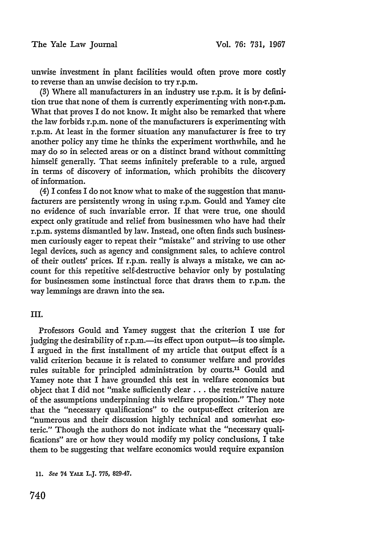unwise investment in plant facilities would often prove more costly to reverse than an unwise decision to try r.p.m.

**(3)** Where all manufacturers in an industry use r.p.m. it is by definition true that none of them is currently experimenting with non-r.p.m. What that proves I do not know. It might also be remarked that where the law forbids r.p.m. none of the manufacturers is experimenting with r.p.m. At least in the former situation any manufacturer is free to try another policy any time he thinks the experiment worthwhile, and he may do so in selected areas or on a distinct brand without committing himself generally. That seems infinitely preferable to a rule, argued in terms of discovery of information, which prohibits the discovery of information.

(4) I confess I do not know what to make of the suggestion that manufacturers are persistently wrong in using r.p.m. Gould and Yamey cite no evidence of such invariable error. If that were true, one should expect only gratitude and relief from businessmen who have had their r.p.m. systems dismantled by law. Instead, one often finds such businessmen curiously eager to repeat their "mistake" and striving to use other legal devices, such as agency and consignment sales, to achieve control of their outlets' prices. If r.p.m. really is always a mistake, we can account for this repetitive self-destructive behavior only by postulating for businessmen some instinctual force that draws them to r.p.m. the way lemmings are drawn into the sea.

#### III.

Professors Gould and Yamey suggest that the criterion I use for judging the desirability of r.p.m.—its effect upon output—is too simple. I argued in the first installment of my article that output effect is a valid criterion because it is related to consumer welfare and provides rules suitable for principled administration by courts.<sup>11</sup> Gould and Yamey note that I have grounded this test in welfare economics but object that I did not "make sufficiently clear **...** the restrictive nature of the assumptions underpinning this welfare proposition." They note that the "necessary qualifications" to the output-effect criterion are "numerous and their discussion highly technical and somewhat esoteric." Though the authors do not indicate what the "necessary qualifications" are or how they would modify my policy conclusions, I take them to be suggesting that welfare economics would require expansion

**11.** See 74 **YALE L.J. 775, 829-47.**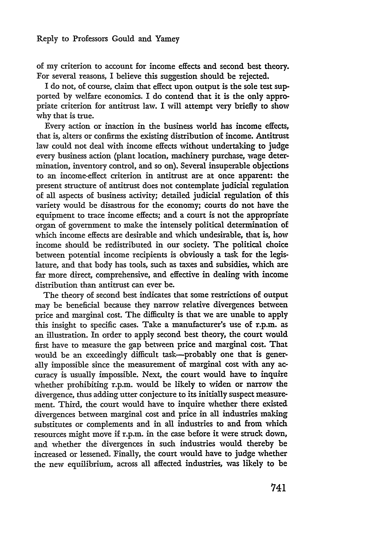of my criterion to account for income effects and second best theory. For several reasons, I believe this suggestion should be rejected.

I do not, of course, claim that effect upon output is the sole test supported by welfare economics. I do contend that it is the only appropriate criterion for antitrust law. I will attempt very briefly to show why that is true.

Every action or inaction in the business world has income effects, that is, alters or confirms the existing distribution of income. Antitrust law could not deal with income effects without undertaking to judge every business action (plant location, machinery purchase, wage determination, inventory control, and so on). Several insuperable objections to an income-effect criterion in antitrust are at once apparent: the present structure of antitrust does not contemplate judicial regulation of all aspects of business activity; detailed judicial regulation of this variety would be disastrous for the economy; courts do not have the equipment to trace income effects; and a court is not the appropriate organ of government to make the intensely political determination of which income effects are desirable and which undesirable, that is, how income should be redistributed in our society. The political choice between potential income recipients is obviously a task for the legislature, and that body has tools, such as taxes and subsidies, which are far more direct, comprehensive, and effective in dealing with income distribution than antitrust can ever be.

The theory of second best indicates that some restrictions of output may be beneficial because they narrow relative divergences between price and marginal cost. The difficulty is that we are unable to apply this insight to specific cases. Take a manufacturer's use of r.p.m. as an illustration. In order to apply second best theory, the court would first have to measure the gap between price and marginal cost. That would be an exceedingly difficult task-probably one that is generally impossible since the measurement of marginal cost with any accuracy is usually impossible. Next, the court would have to inquire whether prohibiting r.p.m. would be likely to widen or narrow the divergence, thus adding utter conjecture to its initially suspect measurement. Third, the court would have to inquire whether there existed divergences between marginal cost and price in all industries making substitutes or complements and in all industries to and from which resources might move if r.p.m. in the case before it were struck down, and whether the divergences in such industries would thereby be increased or lessened. Finally, the court would have to judge whether the new equilibrium, across all affected industries, was likely to be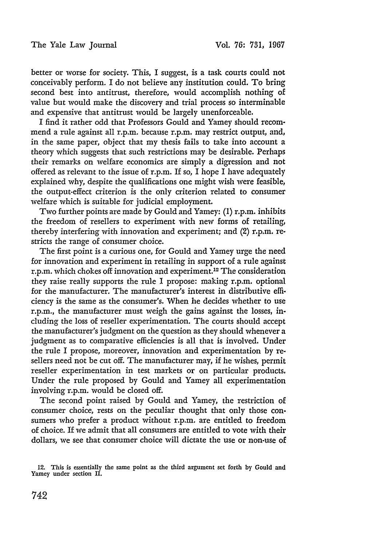better or worse for society. This, I suggest, is a task courts could not conceivably perform. I do not believe any institution could. To bring second best into antitrust, therefore, would accomplish nothing of value but would make the discovery and trial process so interminable and expensive that antitrust would be largely unenforceable.

I find it rather odd that Professors Gould and Yamey should recommend a rule against all r.p.m. because r.p.m. may restrict output, and, in the same paper, object that my thesis fails to take into account a theory which suggests that such restrictions may be desirable. Perhaps their remarks on welfare economics are simply a digression and not offered as relevant to the issue of r.p.m. If so, I hope I have adequately explained why, despite the qualifications one might wish were feasible, the output-effect criterion is the only criterion related to consumer welfare which is suitable for judicial employment.

Two further points are made by Gould and Yamey: (1) r.p.m. inhibits the freedom of resellers to experiment with new forms of retailing, thereby interfering with innovation and experiment; and (2) r.p.m. restricts the range of consumer choice.

The first point is a curious one, for Gould and Yamey urge the need for innovation and experiment in retailing in support of a rule against r.p.m. which chokes off innovation and experiment. 12 The consideration they raise really supports the rule I propose: making r.p.m. optional for the manufacturer. The manufacturer's interest in distributive efficiency is the same as the consumer's. When he decides whether to use r.p.m., the manufacturer must weigh the gains against the losses, including the loss of reseller experimentation. The courts should accept the manufacturer's judgment on the question as they should whenever a judgment as to comparative efficiencies is all that is involved. Under the rule I propose, moreover, innovation and experimentation by resellers need not be cut off. The manufacturer may, if he wishes, permit reseller experimentation in test markets or on particular products. Under the rule proposed by Gould and Yamey all experimentation involving r.p.m. would be closed off.

The second point raised by Gould and Yamey, the restriction of consumer choice, rests on the peculiar thought that only those consumers who prefer a product without r.p.m. are entitled to freedom of choice. If we admit that all consumers are entitled to vote with their dollars, we see that consumer choice will dictate the use or non-use of

<sup>12.</sup> This is essentially the same point as the third argument set forth **by** Gould and Yamey under section **II.**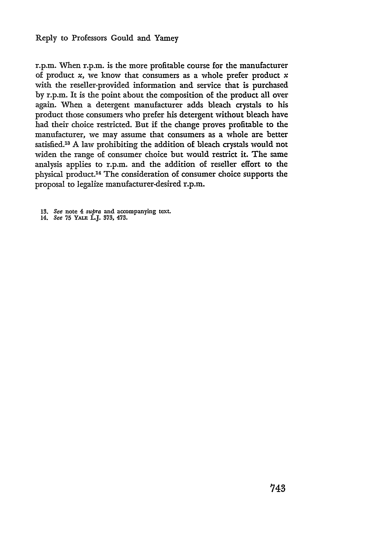r.p.m. When r.p.m. is the more profitable course for the manufacturer of product  $x$ , we know that consumers as a whole prefer product  $x$ with the reseller-provided information and service that is purchased by r.p.m. It is the point about the composition of the product all over again. When a detergent manufacturer adds bleach crystals to his product those consumers who prefer his detergent without bleach have had their choice restricted. But if the change proves profitable to the manufacturer, we may assume that consumers as a whole are better satisfied.<sup>13</sup> A law prohibiting the addition of bleach crystals would not widen the range of consumer choice but would restrict it. The same analysis applies to r.p.m. and the addition of reseller effort to the physical product.14 The consideration of consumer choice supports the proposal to legalize manufacturer-desired r.p.m.

- *13. See* note 4 *supra* and accompanying text.
- 14. *See* **75** YArE L.J. **373,** 475.